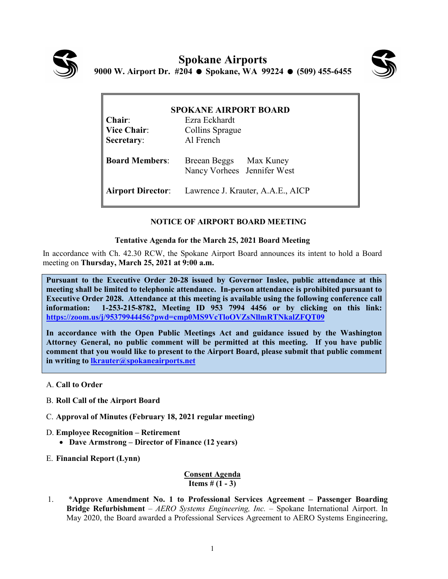



| <b>SPOKANE AIRPORT BOARD</b> |                                                            |  |  |  |  |  |  |
|------------------------------|------------------------------------------------------------|--|--|--|--|--|--|
| $Chair$                      | Ezra Eckhardt                                              |  |  |  |  |  |  |
| <b>Vice Chair:</b>           | Collins Sprague                                            |  |  |  |  |  |  |
| Secretary:                   | Al French                                                  |  |  |  |  |  |  |
| <b>Board Members:</b>        | Breean Beggs Max Kuney<br>Nancy Vorhees Jennifer West      |  |  |  |  |  |  |
|                              | <b>Airport Director:</b> Lawrence J. Krauter, A.A.E., AICP |  |  |  |  |  |  |

## **NOTICE OF AIRPORT BOARD MEETING**

## **Tentative Agenda for the March 25, 2021 Board Meeting**

In accordance with Ch. 42.30 RCW, the Spokane Airport Board announces its intent to hold a Board meeting on **Thursday, March 25, 2021 at 9:00 a.m.** 

**Pursuant to the Executive Order 20-28 issued by Governor Inslee, public attendance at this meeting shall be limited to telephonic attendance. In-person attendance is prohibited pursuant to Executive Order 2028. Attendance at this meeting is available using the following conference call information: 1-253-215-8782, Meeting ID 953 7994 4456 or by clicking on this link: <https://zoom.us/j/95379944456?pwd=cmp0MS9VcTloOVZsNllmRTNkalZFQT09>**

**In accordance with the Open Public Meetings Act and guidance issued by the Washington Attorney General, no public comment will be permitted at this meeting. If you have public comment that you would like to present to the Airport Board, please submit that public comment in writing to [lkrauter@spokaneairports.net](mailto:lkrauter@spokaneairports.net)**

- A. **Call to Order**
- B. **Roll Call of the Airport Board**
- C. **Approval of Minutes (February 18, 2021 regular meeting)**
- D. **Employee Recognition – Retirement**
	- **Dave Armstrong – Director of Finance (12 years)**
- E. **Financial Report (Lynn)**

## **Consent Agenda Items # (1 - 3)**

1. \***Approve Amendment No. 1 to Professional Services Agreement – Passenger Boarding Bridge Refurbishment** – *AERO Systems Engineering, Inc.* – Spokane International Airport. In May 2020, the Board awarded a Professional Services Agreement to AERO Systems Engineering,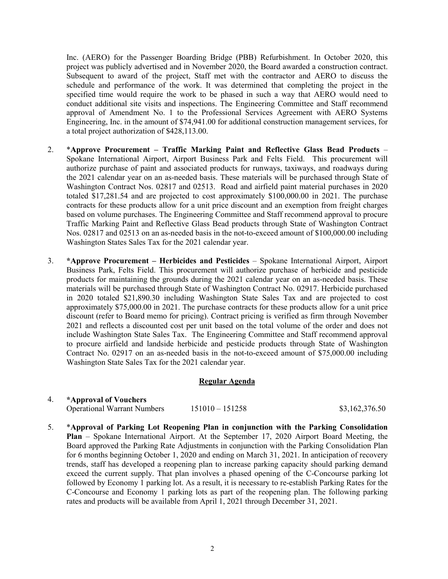Inc. (AERO) for the Passenger Boarding Bridge (PBB) Refurbishment. In October 2020, this project was publicly advertised and in November 2020, the Board awarded a construction contract. Subsequent to award of the project, Staff met with the contractor and AERO to discuss the schedule and performance of the work. It was determined that completing the project in the specified time would require the work to be phased in such a way that AERO would need to conduct additional site visits and inspections. The Engineering Committee and Staff recommend approval of Amendment No. 1 to the Professional Services Agreement with AERO Systems Engineering, Inc. in the amount of \$74,941.00 for additional construction management services, for a total project authorization of \$428,113.00.

- 2. \***Approve Procurement – Traffic Marking Paint and Reflective Glass Bead Products** Spokane International Airport, Airport Business Park and Felts Field. This procurement will authorize purchase of paint and associated products for runways, taxiways, and roadways during the 2021 calendar year on an as-needed basis. These materials will be purchased through State of Washington Contract Nos. 02817 and 02513. Road and airfield paint material purchases in 2020 totaled \$17,281.54 and are projected to cost approximately \$100,000.00 in 2021. The purchase contracts for these products allow for a unit price discount and an exemption from freight charges based on volume purchases. The Engineering Committee and Staff recommend approval to procure Traffic Marking Paint and Reflective Glass Bead products through State of Washington Contract Nos. 02817 and 02513 on an as-needed basis in the not-to-exceed amount of \$100,000.00 including Washington States Sales Tax for the 2021 calendar year.
- 3. **\*Approve Procurement – Herbicides and Pesticides**  Spokane International Airport, Airport Business Park, Felts Field. This procurement will authorize purchase of herbicide and pesticide products for maintaining the grounds during the 2021 calendar year on an as-needed basis. These materials will be purchased through State of Washington Contract No. 02917. Herbicide purchased in 2020 totaled \$21,890.30 including Washington State Sales Tax and are projected to cost approximately \$75,000.00 in 2021. The purchase contracts for these products allow for a unit price discount (refer to Board memo for pricing). Contract pricing is verified as firm through November 2021 and reflects a discounted cost per unit based on the total volume of the order and does not include Washington State Sales Tax. The Engineering Committee and Staff recommend approval to procure airfield and landside herbicide and pesticide products through State of Washington Contract No. 02917 on an as-needed basis in the not-to-exceed amount of \$75,000.00 including Washington State Sales Tax for the 2021 calendar year.

## **Regular Agenda**

| *Approval of Vouchers              |                   |                |
|------------------------------------|-------------------|----------------|
| <b>Operational Warrant Numbers</b> | $151010 - 151258$ | \$3,162,376.50 |

5. \***Approval of Parking Lot Reopening Plan in conjunction with the Parking Consolidation Plan** – Spokane International Airport. At the September 17, 2020 Airport Board Meeting, the Board approved the Parking Rate Adjustments in conjunction with the Parking Consolidation Plan for 6 months beginning October 1, 2020 and ending on March 31, 2021. In anticipation of recovery trends, staff has developed a reopening plan to increase parking capacity should parking demand exceed the current supply. That plan involves a phased opening of the C-Concourse parking lot followed by Economy 1 parking lot. As a result, it is necessary to re-establish Parking Rates for the C-Concourse and Economy 1 parking lots as part of the reopening plan. The following parking rates and products will be available from April 1, 2021 through December 31, 2021.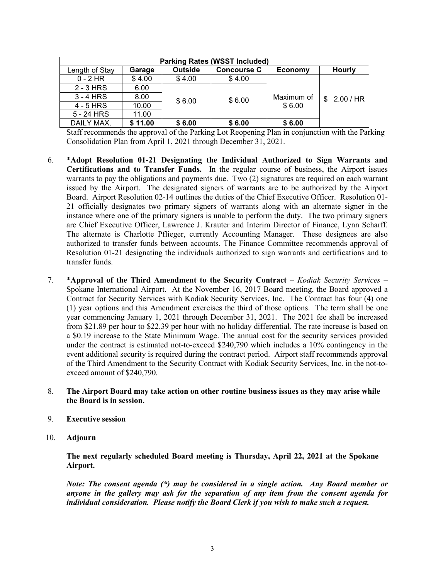| <b>Parking Rates (WSST Included)</b> |         |                |                    |            |                  |  |
|--------------------------------------|---------|----------------|--------------------|------------|------------------|--|
| Length of Stay                       | Garage  | <b>Outside</b> | <b>Concourse C</b> | Economy    | <b>Hourly</b>    |  |
| $0 - 2$ HR                           | \$4.00  | \$4.00         | \$4.00             |            |                  |  |
| $2 - 3$ HRS                          | 6.00    |                |                    |            |                  |  |
| $3 - 4$ HRS                          | 8.00    | \$6.00         | \$6.00             | Maximum of | 2.00 / HR<br>\$. |  |
| 4 - 5 HRS                            | 10.00   |                |                    | \$6.00     |                  |  |
| 5 - 24 HRS                           | 11.00   |                |                    |            |                  |  |
| DAILY MAX.                           | \$11.00 | \$6.00         | \$6.00             | \$6.00     |                  |  |

Staff recommends the approval of the Parking Lot Reopening Plan in conjunction with the Parking Consolidation Plan from April 1, 2021 through December 31, 2021.

- 6. \***Adopt Resolution 01-21 Designating the Individual Authorized to Sign Warrants and Certifications and to Transfer Funds.** In the regular course of business, the Airport issues warrants to pay the obligations and payments due. Two (2) signatures are required on each warrant issued by the Airport. The designated signers of warrants are to be authorized by the Airport Board. Airport Resolution 02-14 outlines the duties of the Chief Executive Officer. Resolution 01- 21 officially designates two primary signers of warrants along with an alternate signer in the instance where one of the primary signers is unable to perform the duty. The two primary signers are Chief Executive Officer, Lawrence J. Krauter and Interim Director of Finance, Lynn Scharff. The alternate is Charlotte Pflieger, currently Accounting Manager. These designees are also authorized to transfer funds between accounts. The Finance Committee recommends approval of Resolution 01-21 designating the individuals authorized to sign warrants and certifications and to transfer funds.
- 7. \***Approval of the Third Amendment to the Security Contract** *Kodiak Security Services* Spokane International Airport. At the November 16, 2017 Board meeting, the Board approved a Contract for Security Services with Kodiak Security Services, Inc. The Contract has four (4) one (1) year options and this Amendment exercises the third of those options. The term shall be one year commencing January 1, 2021 through December 31, 2021. The 2021 fee shall be increased from \$21.89 per hour to \$22.39 per hour with no holiday differential. The rate increase is based on a \$0.19 increase to the State Minimum Wage. The annual cost for the security services provided under the contract is estimated not-to-exceed \$240,790 which includes a 10% contingency in the event additional security is required during the contract period. Airport staff recommends approval of the Third Amendment to the Security Contract with Kodiak Security Services, Inc. in the not-toexceed amount of \$240,790.
- 8. **The Airport Board may take action on other routine business issues as they may arise while the Board is in session.**
- 9. **Executive session**
- 10. **Adjourn**

**The next regularly scheduled Board meeting is Thursday, April 22, 2021 at the Spokane Airport.** 

*Note: The consent agenda (\*) may be considered in a single action. Any Board member or anyone in the gallery may ask for the separation of any item from the consent agenda for individual consideration. Please notify the Board Clerk if you wish to make such a request.*